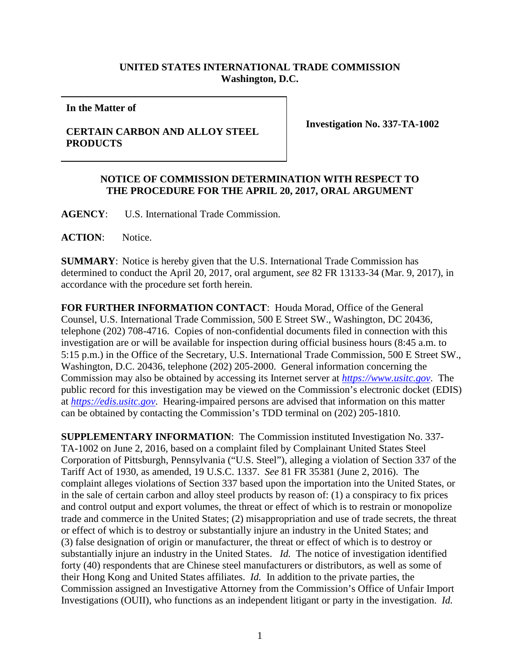## **UNITED STATES INTERNATIONAL TRADE COMMISSION Washington, D.C.**

**In the Matter of**

## **CERTAIN CARBON AND ALLOY STEEL PRODUCTS**

**Investigation No. 337-TA-1002**

## **NOTICE OF COMMISSION DETERMINATION WITH RESPECT TO THE PROCEDURE FOR THE APRIL 20, 2017, ORAL ARGUMENT**

**AGENCY**: U.S. International Trade Commission.

**ACTION**: Notice.

**SUMMARY**: Notice is hereby given that the U.S. International Trade Commission has determined to conduct the April 20, 2017, oral argument, *see* 82 FR 13133-34 (Mar. 9, 2017), in accordance with the procedure set forth herein.

**FOR FURTHER INFORMATION CONTACT**: Houda Morad, Office of the General Counsel, U.S. International Trade Commission, 500 E Street SW., Washington, DC 20436, telephone (202) 708-4716. Copies of non-confidential documents filed in connection with this investigation are or will be available for inspection during official business hours (8:45 a.m. to 5:15 p.m.) in the Office of the Secretary, U.S. International Trade Commission, 500 E Street SW., Washington, D.C. 20436, telephone (202) 205-2000. General information concerning the Commission may also be obtained by accessing its Internet server at *[https://www.usitc.gov](https://www.usitc.gov/)*. The public record for this investigation may be viewed on the Commission's electronic docket (EDIS) at *[https://edis.usitc.gov](http://edis.usitc.gov/)*. Hearing-impaired persons are advised that information on this matter can be obtained by contacting the Commission's TDD terminal on (202) 205-1810.

**SUPPLEMENTARY INFORMATION**: The Commission instituted Investigation No. 337- TA-1002 on June 2, 2016, based on a complaint filed by Complainant United States Steel Corporation of Pittsburgh, Pennsylvania ("U.S. Steel"), alleging a violation of Section 337 of the Tariff Act of 1930, as amended, 19 U.S.C. 1337. *See* 81 FR 35381 (June 2, 2016). The complaint alleges violations of Section 337 based upon the importation into the United States, or in the sale of certain carbon and alloy steel products by reason of: (1) a conspiracy to fix prices and control output and export volumes, the threat or effect of which is to restrain or monopolize trade and commerce in the United States; (2) misappropriation and use of trade secrets, the threat or effect of which is to destroy or substantially injure an industry in the United States; and (3) false designation of origin or manufacturer, the threat or effect of which is to destroy or substantially injure an industry in the United States. *Id.* The notice of investigation identified forty (40) respondents that are Chinese steel manufacturers or distributors, as well as some of their Hong Kong and United States affiliates. *Id.* In addition to the private parties, the Commission assigned an Investigative Attorney from the Commission's Office of Unfair Import Investigations (OUII), who functions as an independent litigant or party in the investigation. *Id.*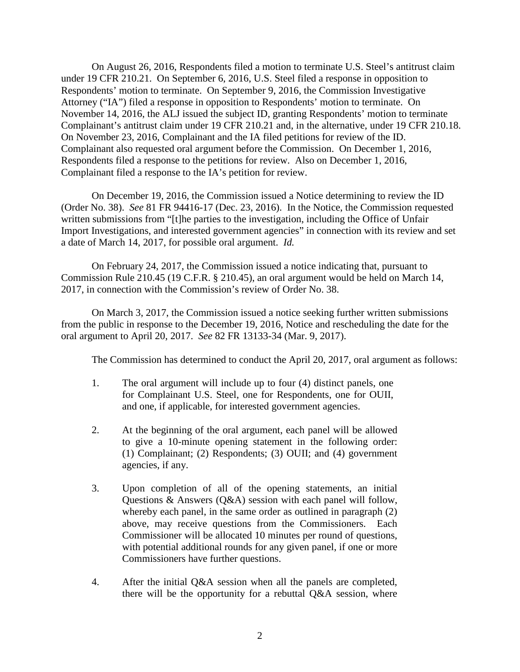On August 26, 2016, Respondents filed a motion to terminate U.S. Steel's antitrust claim under 19 CFR 210.21. On September 6, 2016, U.S. Steel filed a response in opposition to Respondents' motion to terminate. On September 9, 2016, the Commission Investigative Attorney ("IA") filed a response in opposition to Respondents' motion to terminate. On November 14, 2016, the ALJ issued the subject ID, granting Respondents' motion to terminate Complainant's antitrust claim under 19 CFR 210.21 and, in the alternative, under 19 CFR 210.18. On November 23, 2016, Complainant and the IA filed petitions for review of the ID. Complainant also requested oral argument before the Commission. On December 1, 2016, Respondents filed a response to the petitions for review. Also on December 1, 2016, Complainant filed a response to the IA's petition for review.

On December 19, 2016, the Commission issued a Notice determining to review the ID (Order No. 38). *See* 81 FR 94416-17 (Dec. 23, 2016). In the Notice, the Commission requested written submissions from "[t]he parties to the investigation, including the Office of Unfair Import Investigations, and interested government agencies" in connection with its review and set a date of March 14, 2017, for possible oral argument. *Id.*

On February 24, 2017, the Commission issued a notice indicating that, pursuant to Commission Rule 210.45 (19 C.F.R. § 210.45), an oral argument would be held on March 14, 2017, in connection with the Commission's review of Order No. 38.

On March 3, 2017, the Commission issued a notice seeking further written submissions from the public in response to the December 19, 2016, Notice and rescheduling the date for the oral argument to April 20, 2017. *See* 82 FR 13133-34 (Mar. 9, 2017).

The Commission has determined to conduct the April 20, 2017, oral argument as follows:

- 1. The oral argument will include up to four (4) distinct panels, one for Complainant U.S. Steel, one for Respondents, one for OUII, and one, if applicable, for interested government agencies.
- 2. At the beginning of the oral argument, each panel will be allowed to give a 10-minute opening statement in the following order: (1) Complainant; (2) Respondents; (3) OUII; and (4) government agencies, if any.
- 3. Upon completion of all of the opening statements, an initial Questions & Answers (Q&A) session with each panel will follow, whereby each panel, in the same order as outlined in paragraph (2) above, may receive questions from the Commissioners. Each Commissioner will be allocated 10 minutes per round of questions, with potential additional rounds for any given panel, if one or more Commissioners have further questions.
- 4. After the initial Q&A session when all the panels are completed, there will be the opportunity for a rebuttal Q&A session, where